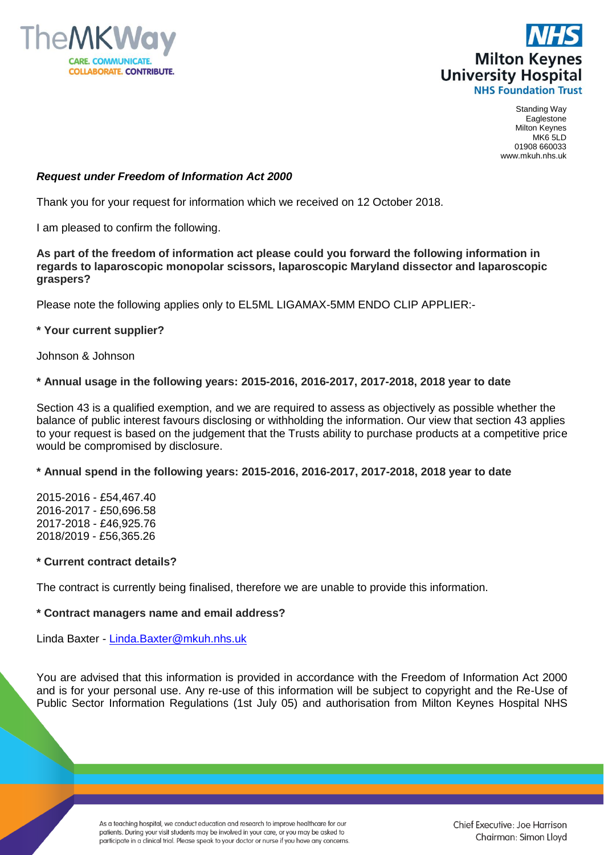



Standing Way Eaglestone Milton Keynes MK6 5LD 01908 660033 www.mkuh.nhs.uk

# *Request under Freedom of Information Act 2000*

Thank you for your request for information which we received on 12 October 2018.

I am pleased to confirm the following.

**As part of the freedom of information act please could you forward the following information in regards to laparoscopic monopolar scissors, laparoscopic Maryland dissector and laparoscopic graspers?**

Please note the following applies only to EL5ML LIGAMAX-5MM ENDO CLIP APPLIER:-

## **\* Your current supplier?**

Johnson & Johnson

## **\* Annual usage in the following years: 2015-2016, 2016-2017, 2017-2018, 2018 year to date**

Section 43 is a qualified exemption, and we are required to assess as objectively as possible whether the balance of public interest favours disclosing or withholding the information. Our view that section 43 applies to your request is based on the judgement that the Trusts ability to purchase products at a competitive price would be compromised by disclosure.

### **\* Annual spend in the following years: 2015-2016, 2016-2017, 2017-2018, 2018 year to date**

2015-2016 - £54,467.40 2016-2017 - £50,696.58 2017-2018 - £46,925.76 2018/2019 - £56,365.26

### **\* Current contract details?**

The contract is currently being finalised, therefore we are unable to provide this information.

### **\* Contract managers name and email address?**

Linda Baxter - [Linda.Baxter@mkuh.nhs.uk](mailto:Linda.Baxter@mkuh.nhs.uk)

You are advised that this information is provided in accordance with the Freedom of Information Act 2000 and is for your personal use. Any re-use of this information will be subject to copyright and the Re-Use of Public Sector Information Regulations (1st July 05) and authorisation from Milton Keynes Hospital NHS

> As a teaching hospital, we conduct education and research to improve healthcare for our patients. During your visit students may be involved in your care, or you may be asked to participate in a clinical trial. Please speak to your doctor or nurse if you have any concerns.

Chief Executive: Joe Harrison Chairman: Simon Lloyd